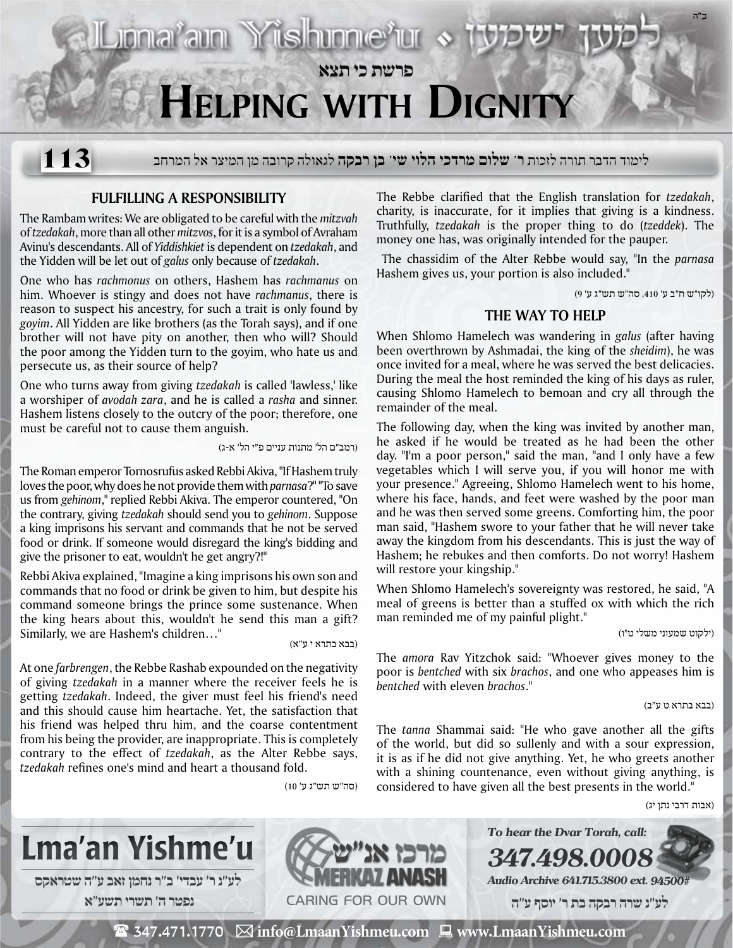

לימוד הדבר תורה לזכות **ר' שלום מרדכי הלוי שי' בן רבקה** לגאולה קרובה מן המיצר אל המרחב **113**

## **Fulfilling a Responsibility**

The Rambam writes: We are obligated to be careful with the *mitzvah* of *tzedakah*, more than all other *mitzvos*, for it is a symbol of Avraham Avinu's descendants. All of *Yiddishkiet* is dependent on *tzedakah*, and the Yidden will be let out of *galus* only because of *tzedakah*.

One who has *rachmonus* on others, Hashem has *rachmanus* on him. Whoever is stingy and does not have *rachmanus*, there is reason to suspect his ancestry, for such a trait is only found by *goyim*. All Yidden are like brothers (as the Torah says), and if one brother will not have pity on another, then who will? Should the poor among the Yidden turn to the goyim, who hate us and persecute us, as their source of help?

One who turns away from giving *tzedakah* is called 'lawless,' like a worshiper of *avodah zara*, and he is called a *rasha* and sinner. Hashem listens closely to the outcry of the poor; therefore, one must be careful not to cause them anguish.

(רמב"ם הל' מתנות עניים פ"י הל' א-ג)

Liona<sup>?</sup>ain Yishinne'ur «

The Roman emperor Tornosrufus asked Rebbi Akiva, "If Hashem truly loves the poor, why does he not provide them with *parnasa*?" "To save us from *gehinom*," replied Rebbi Akiva. The emperor countered, "On the contrary, giving *tzedakah* should send you to *gehinom*. Suppose a king imprisons his servant and commands that he not be served food or drink. If someone would disregard the king's bidding and give the prisoner to eat, wouldn't he get angry?!"

Rebbi Akiva explained, "Imagine a king imprisons his own son and commands that no food or drink be given to him, but despite his command someone brings the prince some sustenance. When the king hears about this, wouldn't he send this man a gift? Similarly, we are Hashem's children..." (בבא בתראי ע"א)

At one *farbrengen*, the Rebbe Rashab expounded on the negativity of giving *tzedakah* in a manner where the receiver feels he is getting *tzedakah*. Indeed, the giver must feel his friend's need and this should cause him heartache. Yet, the satisfaction that his friend was helped thru him, and the coarse contentment from his being the provider, are inappropriate. This is completely contrary to the effect of *tzedakah*, as the Alter Rebbe says, *tzedakah* refines one's mind and heart a thousand fold.

(סה"ש תש"ג ע' 10)

The Rebbe clarified that the English translation for *tzedakah*, charity, is inaccurate, for it implies that giving is a kindness. Truthfully, *tzedakah* is the proper thing to do (*tzeddek*). The money one has, was originally intended for the pauper.

 The chassidim of the Alter Rebbe would say, "In the *parnasa* Hashem gives us, your portion is also included."

(לקו"ש ח"ב ע' ,410 סה"ש תש"ג ע' 9)

**ב"ה**

## **The Way to Help**

When Shlomo Hamelech was wandering in *galus* (after having been overthrown by Ashmadai, the king of the *sheidim*), he was once invited for a meal, where he was served the best delicacies. During the meal the host reminded the king of his days as ruler, causing Shlomo Hamelech to bemoan and cry all through the remainder of the meal.

The following day, when the king was invited by another man, he asked if he would be treated as he had been the other day. "I'm a poor person," said the man, "and I only have a few vegetables which I will serve you, if you will honor me with your presence." Agreeing, Shlomo Hamelech went to his home, where his face, hands, and feet were washed by the poor man and he was then served some greens. Comforting him, the poor man said, "Hashem swore to your father that he will never take away the kingdom from his descendants. This is just the way of Hashem; he rebukes and then comforts. Do not worry! Hashem will restore your kingship."

When Shlomo Hamelech's sovereignty was restored, he said, "A meal of greens is better than a stuffed ox with which the rich man reminded me of my painful plight."

(ילקוט שמעוני משלי ט"ו)

The *amora* Rav Yitzchok said: "Whoever gives money to the poor is *bentched* with six *brachos*, and one who appeases him is *bentched* with eleven *brachos*."

(בבא בתרא ט ע"ב)

The *tanna* Shammai said: "He who gave another all the gifts of the world, but did so sullenly and with a sour expression, it is as if he did not give anything. Yet, he who greets another with a shining countenance, even without giving anything, is considered to have given all the best presents in the world."

**347.498.0008**

**To hear the Dvar Torah, call:**

**Audio Archive 641.715.3800 ext. 94500# לע"נ שרה רבקה בת ר׳ יוסף ע"ה**

(אבות דרבי נתן יג)



Caring for our own